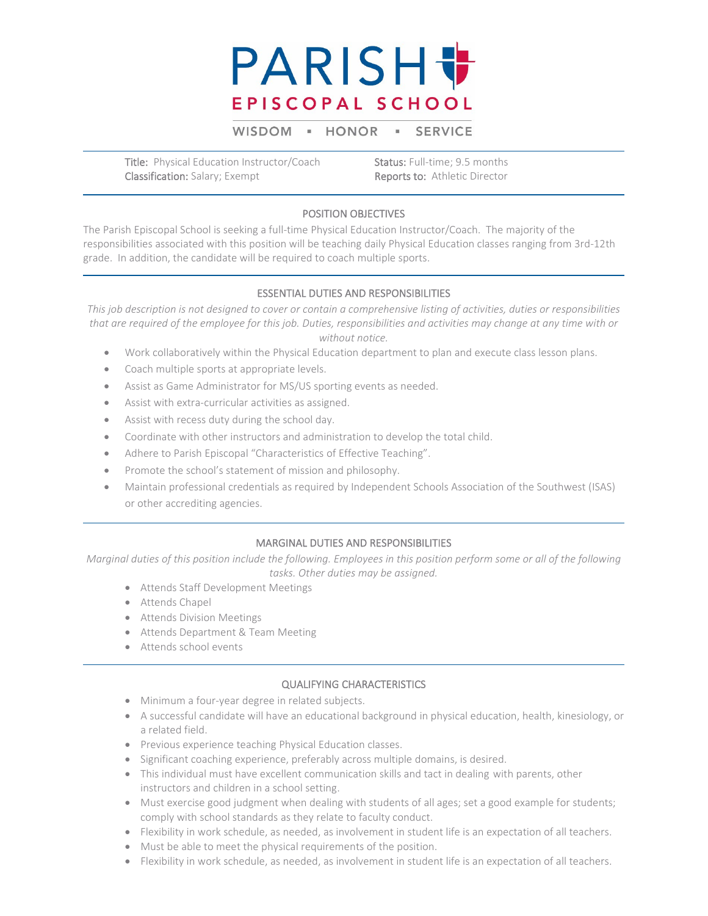

WISDOM - HONOR  $\mathbf{u}$ **SERVICE** 

Title: Physical Education Instructor/Coach Status: Full-time; 9.5 months Classification: Salary; Exempt Reports to: Athletic Director

#### POSITION OBJECTIVES

The Parish Episcopal School is seeking a full-time Physical Education Instructor/Coach. The majority of the responsibilities associated with this position will be teaching daily Physical Education classes ranging from 3rd-12th grade. In addition, the candidate will be required to coach multiple sports.

## ESSENTIAL DUTIES AND RESPONSIBILITIES

*This job description is not designed to cover or contain a comprehensive listing of activities, duties or responsibilities that are required of the employee for this job. Duties, responsibilities and activities may change at any time with or without notice.*

- Work collaboratively within the Physical Education department to plan and execute class lesson plans.
- Coach multiple sports at appropriate levels.
- Assist as Game Administrator for MS/US sporting events as needed.
- Assist with extra-curricular activities as assigned.
- Assist with recess duty during the school day.
- Coordinate with other instructors and administration to develop the total child.
- Adhere to Parish Episcopal "Characteristics of Effective Teaching".
- Promote the school's statement of mission and philosophy.
- Maintain professional credentials as required by Independent Schools Association of the Southwest (ISAS) or other accrediting agencies.

## MARGINAL DUTIES AND RESPONSIBILITIES

*Marginal duties of this position include the following. Employees in this position perform some or all of the following tasks. Other duties may be assigned.*

- Attends Staff Development Meetings
- Attends Chapel
- Attends Division Meetings
- Attends Department & Team Meeting
- Attends school events

#### QUALIFYING CHARACTERISTICS

- Minimum a four-year degree in related subjects.
- A successful candidate will have an educational background in physical education, health, kinesiology, or a related field.
- Previous experience teaching Physical Education classes.
- Significant coaching experience, preferably across multiple domains, is desired.
- This individual must have excellent communication skills and tact in dealing with parents, other instructors and children in a school setting.
- Must exercise good judgment when dealing with students of all ages; set a good example for students; comply with school standards as they relate to faculty conduct.
- Flexibility in work schedule, as needed, as involvement in student life is an expectation of all teachers.
- Must be able to meet the physical requirements of the position.
- Flexibility in work schedule, as needed, as involvement in student life is an expectation of all teachers.